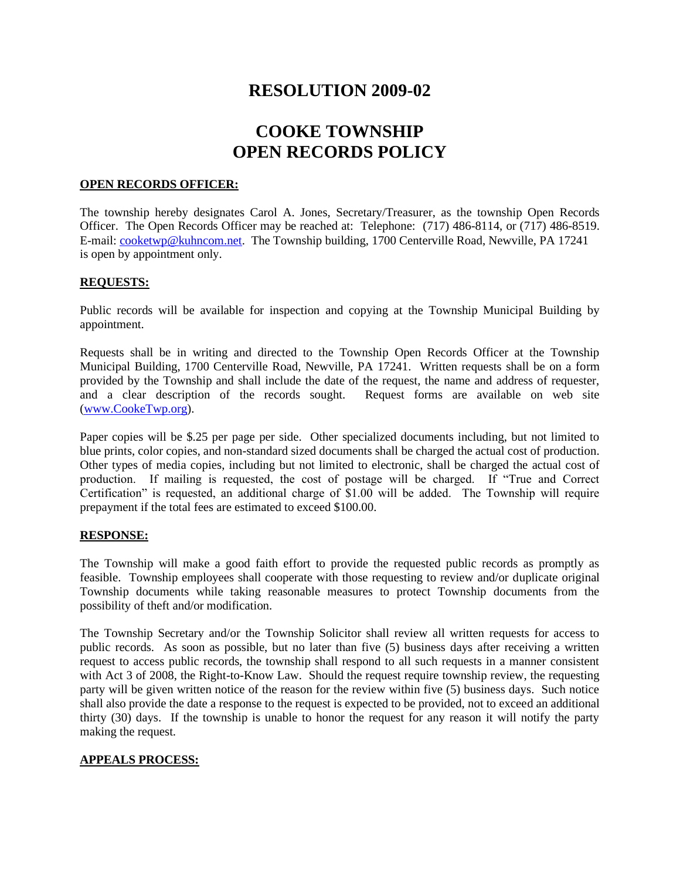## **RESOLUTION 2009-02**

# **COOKE TOWNSHIP OPEN RECORDS POLICY**

#### **OPEN RECORDS OFFICER:**

The township hereby designates Carol A. Jones, Secretary/Treasurer, as the township Open Records Officer. The Open Records Officer may be reached at: Telephone: (717) 486-8114, or (717) 486-8519. E-mail[: cooketwp@kuhncom.net.](mailto:cooketwp@kuhncom.net) The Township building, 1700 Centerville Road, Newville, PA 17241 is open by appointment only.

#### **REQUESTS:**

Public records will be available for inspection and copying at the Township Municipal Building by appointment.

Requests shall be in writing and directed to the Township Open Records Officer at the Township Municipal Building, 1700 Centerville Road, Newville, PA 17241. Written requests shall be on a form provided by the Township and shall include the date of the request, the name and address of requester, and a clear description of the records sought. Request forms are available on web site [\(www.CookeTwp.org\)](www.CookeTwp.org).

Paper copies will be \$.25 per page per side. Other specialized documents including, but not limited to blue prints, color copies, and non-standard sized documents shall be charged the actual cost of production. Other types of media copies, including but not limited to electronic, shall be charged the actual cost of production. If mailing is requested, the cost of postage will be charged. If "True and Correct Certification" is requested, an additional charge of \$1.00 will be added. The Township will require prepayment if the total fees are estimated to exceed \$100.00.

#### **RESPONSE:**

The Township will make a good faith effort to provide the requested public records as promptly as feasible. Township employees shall cooperate with those requesting to review and/or duplicate original Township documents while taking reasonable measures to protect Township documents from the possibility of theft and/or modification.

The Township Secretary and/or the Township Solicitor shall review all written requests for access to public records. As soon as possible, but no later than five (5) business days after receiving a written request to access public records, the township shall respond to all such requests in a manner consistent with Act 3 of 2008, the Right-to-Know Law. Should the request require township review, the requesting party will be given written notice of the reason for the review within five (5) business days. Such notice shall also provide the date a response to the request is expected to be provided, not to exceed an additional thirty (30) days. If the township is unable to honor the request for any reason it will notify the party making the request.

### **APPEALS PROCESS:**